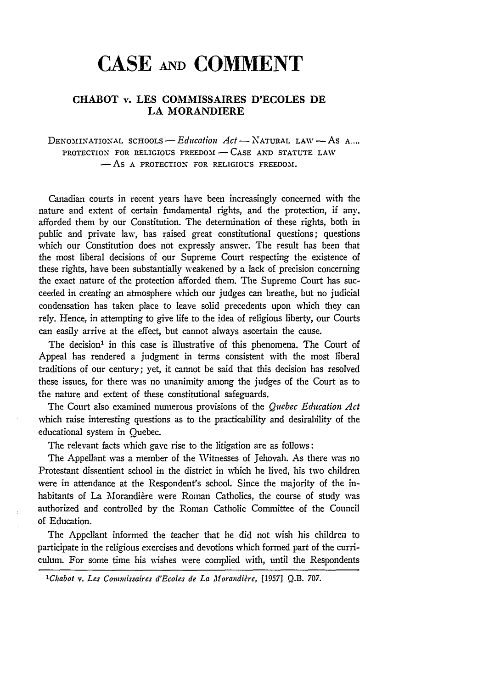# **CASE AND COMMENT**

# **CHABOT** v. **LES COMMISSAIRES D'ECOLES DE LA MORANDIERE**

DENOMINATIONAL *SCHOOLS-Education Act* -NATURAL **LAW -AS A....** PROTECTION FOR RELIGIOUS **FREEDOM - CASE AND STATUTE** *LAW*  $-$ AS A PROTECTION FOR RELIGIOUS FREEDOM.

Canadian courts in recent years have been increasingly concerned with the nature and extent of certain fundamental rights, and the protection, if any, afforded them by our Constitution. The determination of these rights, both in public and private law, has raised great constitutional questions; questions which our Constitution does not expressly answer. The result has been that the most liberal decisions of our Supreme Court respecting the existence of these rights, have been substantially weakened by a lack of precision concerning the exact nature of the protection afforded them. The Supreme Court has succeeded in creating an atmosphere which our judges can breathe, but no judicial condensation has taken place to leave solid precedents upon which they can rely. Hence, in attempting to give life to the idea of religious liberty, our Courts can easily arrive at the effect, but cannot always ascertain the cause.

The decision' in this case is illustrative of this phenomena. The Court of Appeal has rendered a judgment in terms consistent with the most liberal traditions of our century; yet, it cannot be said that this decision has resolved these issues, for there was no unanimity among the judges of the Court as to the nature and extent of these constitutional safeguards.

The Court also examined numerous provisions of the *Quebec Education Act* which raise interesting questions as to the practicability and desirability of the educational system in Quebec.

The relevant facts which gave rise to the litigation are as follows:

The Appellant was a member of the Witnesses of Jehovah. As there was no Protestant dissentient school in the district in which he lived, his two children were in attendance at the Respondent's school. Since the majority of the inhabitants of La Morandière were Roman Catholics, the course of study was authorized and controlled by the Roman Catholic Committee of the Council of Education.

The Appellant informed the teacher that he did not wish his children to participate in the religious exercises and devotions which formed part of the curriculum. For some time his wishes were complied with, until the Respondents

*'Chabot v. Les Conimissaires d'Ecoles de La Morandiire,* [1957] **Q.B.** 707.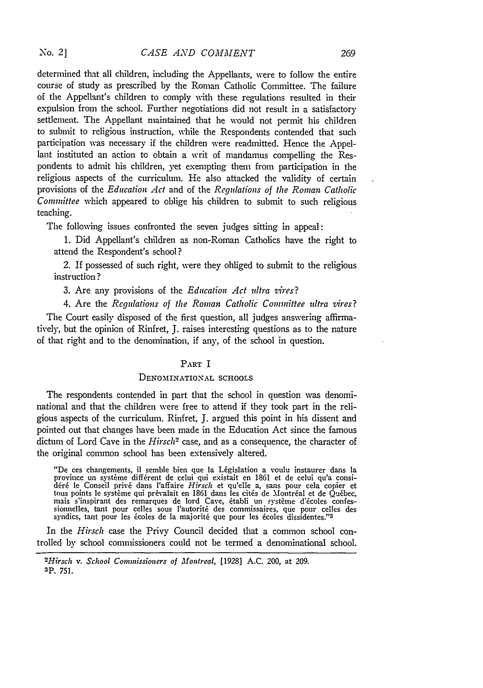$\text{No. } 2$ 

determined that all children, including the Appellants, were to follow the entire course of study as prescribed by the Roman Catholic Committee. The failure of the Appellant's children to comply with these regulations resulted in their expulsion from the school. Further negotiations did not result in a satisfactory settlement. The Appellant maintained that he would not permit his children to submit to religious instruction, while the Respondents contended that such participation was necessary if the children were readmitted. Hence the Appellant instituted an action to obtain a writ of mandamus compelling the Respondents to admit his children, yet exempting them from participation in the religious aspects of the curriculum. He also attacked the validity of certain provisions of the *Education Act* and of the *Regulations of the Roman Catholic* Committee which appeared to oblige his children to submit to such religious teaching.

The following issues confronted the seven judges sitting in appeal:

**1.** Did Appellant's children as non-Roman Catholics have the right to attend the Respondent's school?

2. If possessed of such right, were they obliged to submit to the religious instruction **?**

**3.** Are any provisions of the *Education Act ultra vires?*

4. Are the *Regulations of the Roman Catholic Commnittee ultra vires?*

The Court easily disposed of the first question, all judges answering affirmatively, but the opinion of Rinfret, **J.** raises interesting questions as to the nature of that right and to the denomination, if any, of the school in question.

## PART I

### DENOMINATIONAL **SCHOOLS**

The respondents contended in part that the school in question was denominational and that the children were free to attend if they took part in the religious aspects of the curriculum. Rinfret, **J.** argued this point in his dissent and pointed out that changes have been made in the Education Act since the famous dictum of Lord Cave in the *Hirsch2* case, and as a consequence, the character of the original common school has been extensively altered.

"De ces changements, il semble bien que la LEgislation a voulu instaurer dans la province un système différent de celui qui existait en 1861 et de celui qu'a consi-<br>déré le Conseil privé dans l'affaire *Hirsch* et qu'elle a, sans pour cela copier et tous points le système qui prévalait en 1861 dans les cités de Montréal et de Québec, mais s'inspirant des remarques de lord Cave, établi un système d'écoles confessionnelles, tant pour celles sous l'autorit6 des commissaires, que pour celles des syndics, tant pour les écoles de la majorité que pour les écoles dissidentes."3

In the *Hirsch* case the Privy Council decided that a common school controlled by school commissioners could not be termed a denominational school.

*<sup>2</sup>Hirsch v. School Commissioners of Montreal,* [1928] A.C. 200, at 209. **3P. 751.**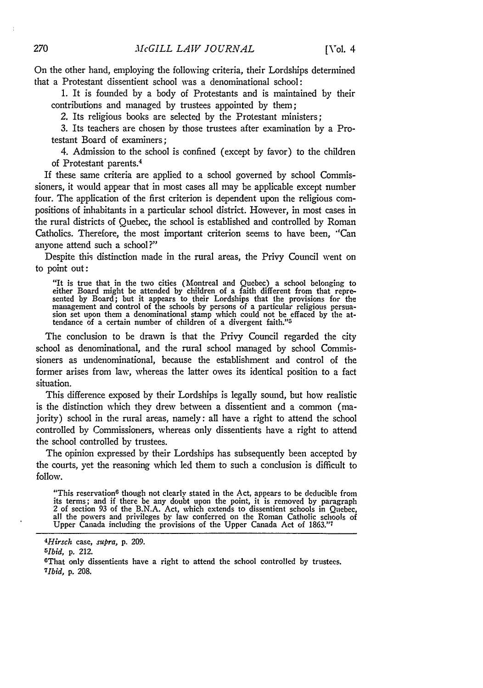On the other hand, employing the following criteria, their Lordships determined that a Protestant dissentient school was a denominational school:

1. It is founded by a body of Protestants and is maintained by their contributions and managed by trustees appointed by them;

2. Its religious books are selected by the Protestant ministers;

3. Its teachers are chosen by those trustees after examination by a Protestant Board of examiners;

4. Admission to the school is confined (except by favor) to the children of Protestant parents. <sup>4</sup>

If these same criteria are applied to a school governed by school Commissioners, it would appear that in most cases all may be applicable except number four. The application of the first criterion is dependent upon the religious compositions of inhabitants in a particular school district. However, in most cases in the rural districts of Quebec, the school is established and controlled by Roman Catholics. Therefore, the most important criterion seems to have been, "Can anyone attend such a school ?"

Despite this distinction made in the rural areas, the Privy Council went on to point out:

"It is true that in the two cities (Montreal and Quebec) a school belonging to either Board might be attended by children of a faith different from that represented by Board; but it appears to their Lordships that the provisions for the management and control of the schools by persons of a particular religious persuasion set upon them a denominational stamp which could not be effaced by the attendance of a certain number of children of a divergent faith."5

The conclusion to be drawn is that the Privy Council regarded the city school as denominational, and the rural school managed by school Commissioners as undenominational, because the establishment and control of the former arises from law, whereas the latter owes its identical position to a fact situation.

This difference exposed by their Lordships is legally sound, but how realistic is the distinction which they drew between a dissentient and a common (majority) school in the rural areas, namely: all have a right to attend the school controlled by Commissioners, whereas only dissentients have a right to attend the school controlled by trustees.

The opinion expressed by their Lordships has subsequently been acceptcd by the courts, yet the reasoning which led them to such a conclusion is difficult to follow.

"This reservation<sup>6</sup> though not clearly stated in the Act, appears to be deducible from its terms; and if there be any doubt upon the point, it is removed by paragraph 2 of section 93 of the B.N.A. Act, which extends to dissentient schools in Quebec, all the powers and privileges by law conferred on the Roman Catholic schools of Upper Canada including the provisions of the Upper Canada Act of **1863. ' 1**

*<sup>4</sup> Hirsch* case, *.upra,* p. 209. *<sup>6</sup> lbid,* **p.** 212.

<sup>&</sup>lt;sup>5</sup>*Ibid*, p. 212.

That only dissentients have a right to attend the school controlled by trustees. *7 1bid,* **p.** 208.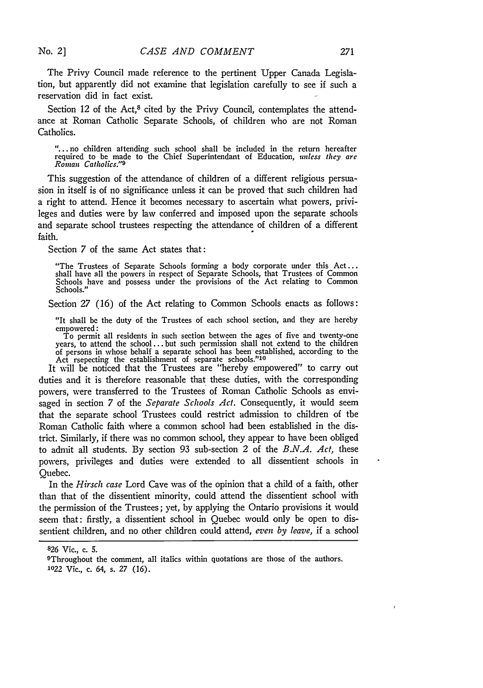**No. 2 ]**

271

The Privy Council made reference to the pertinent Upper Canada Legislation, but apparently did not examine that legislation carefully to see if such a reservation did in fact exist.

Section 12 of the Act,<sup>8</sup> cited by the Privy Council, contemplates the attendance at Roman Catholic Separate Schools, of children who are not Roman Catholics.

... no children attending such school shall be included in the return hereafter required to be made to the Chief Superintendant of Education, *unless they are Roman Catholics."9*

This suggestion of the attendance of children of a different religious persuasion in itself is of no significance unless it can be proved that such children had a right to attend. Hence it becomes necessary to ascertain what powers, privileges and duties were by law conferred and imposed upon the separate schools and separate school trustees respecting the attendance of children of a different faith.

Section 7 of the same Act states that:

"The Trustees of Separate Schools forming a body corporate under this Act... shall have all the powers in respect of Separate Schools, that Trustees of Common Schools have and possess under the provisions of the Act relating to Common Schools."

Section 27 (16) of the Act relating to Common Schools enacts as follows:

"It shall be the duty of the Trustees of each school section, and they are hereby empowered:

To permit all residents in such section between the ages of five and twenty-one years, to attend the school **...** but such permission shall not extend to the children of persons in whose behalf a separate school has been established, according to the Act rsepecting the establishment of separate schools."<sup>10</sup>

It will be noticed that the Trustees are "hereby empowered" to carry out duties and it is therefore reasonable that these duties, with the corresponding powers, were transferred to the Trustees of Roman Catholic Schools as envisaged in section 7 of the *Separate Schools Act.* Consequently, it would seem that the separate school Trustees could restrict admission to children of the Roman Catholic faith where a common school had been established in the district. Similarly, if there was no common school, they appear to have been obliged to admit all students. By section 93 sub-section 2 of the *B.N.A. Act,* these powers, privileges and duties were extended to all dissentient schools in Quebec.

In the *Hirsch case* Lord Cave was of the opinion that a child of a faith, other than that of the dissentient minority, could attend the dissentient school with the permission of the Trustees; yet, by applying the Ontario provisions it would seem that: firstly, a dissentient school in Quebec would only be open to dissentient children, and no other children could attend, *even by leave,* if a school

**<sup>826</sup>** Vic., c. 5.

<sup>&</sup>lt;sup>9</sup>Throughout the comment, all italics within quotations are those of the authors. *1022* Vic., c. 64, s. *27* (16).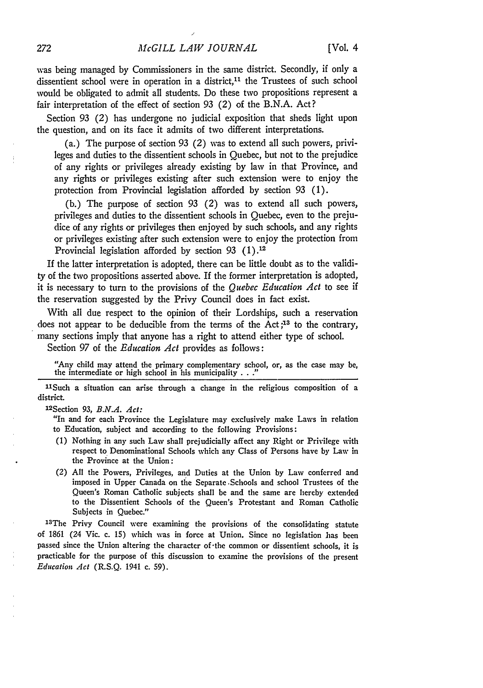was being managed by Commissioners in the same district. Secondly, if only a dissentient school were in operation in a district, $11$  the Trustees of such school would be obligated to admit all students. Do these two propositions represent a fair interpretation of the effect of section 93 (2) of the B.N.A. Act?

Section 93 (2) has undergone no judicial exposition that sheds light upon the question, and on its face it admits of two different interpretations.

(a.) The purpose of section 93 (2) was to extend all such powers, privileges and duties to the dissentient schools in Quebec, but not to the prejudice of any rights or privileges already existing by law in that Province, and any rights or privileges existing after such extension were to enjoy the protection from Provincial legislation afforded by section 93 (1).

(b.) The purpose of section 93 (2) was to extend all such powers, privileges and duties to the dissentient schools in Quebec, even to the prejudice of any rights or privileges then enjoyed by such schools, and any rights or privileges existing after such extension were to enjoy the protection from Provincial legislation afforded by section 93 (1).12

If the latter interpretation is adopted, there can be little doubt as to the validity of the two propositions asserted above. If the former interpretation is adopted, it is necessary to turn to the provisions of the *Quebec Education Act* to see if the reservation suggested by the Privy Council does in fact exist.

With all due respect to the opinion of their Lordships, such a reservation does not appear to be deducible from the terms of the Act **;13** to the contrary, many sections imply that anyone has a right to attend either type of school.

Section 97 of the *Education Act* provides as follows:

"Any child may attend the primary complementary school, or, as the case may be, the intermediate or high school in his municipality . . **."**

1ISuch a situation can arise through a change in the religious composition of a district.

12Section 93, *B.N.A. Act:*

"In and for each Province the Legislature may exclusively make Laws in relation to Education, subject and according to the following Provisions:

- (1) Nothing in any such Law shall prejudicially affect any Right or Privilege with respect to Denominational Schools which any Class of Persons have by Law in the Province at the Union:
- *(2)* All the Powers, Privileges, and Duties at the Union by Law conferred and imposed in Upper Canada on the Separate .Schools and school Trustees of the Queen's Roman Catholic subjects shall be and the same are hereby extended to the Dissentient Schools of the Queen's Protestant and Roman Catholic Subjects in Quebec."

<sup>13</sup>The Privy Council were examining the provisions of the consolidating statute of 1861 (24 Vic. c. 15) which was in force at Union. Since no legislation has been passed since the Union altering the character of-the common or dissentient schools, it is practicable for the purpose of this discussion to examine the provisions of the present *Education Act* (R.S.Q. 1941 c. 59).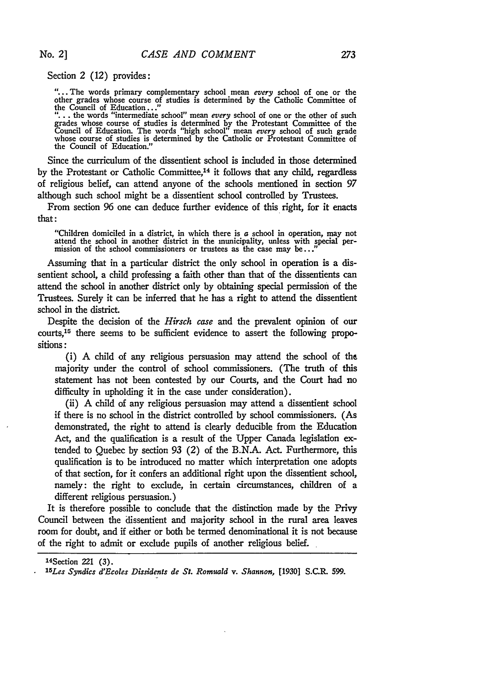Section 2 (12) provides:

**"..** The words primary complementary school mean *every* school of one or the other grades whose course of studies is determined **by** the Catholic Committee of the Council of Education...

**"... .** the words "intermediate school" mean *every* school of one or the other of such extends whose course of studies is determined by the Protestant Committee of the Council of Education. The words "high school" mean *every* school of such grade whose course of studies is determined by the Catholic or Protestant Committee of the Council of Education."

Since the curriculum of the dissentient school is included in those determined by the Protestant or Catholic Committee, $14$  it follows that any child, regardless of religious belief, can attend anyone of the schools mentioned in section 97 although such school might be a dissentient school controlled by Trustees.

From section 96 one can deduce further evidence of this right, for it enacts that:

"Children domiciled in a district, in which there is  $a$  school in operation, may not attend the school in another district in the municipality, unless with special per- mission of the school commissioners or trustees as the case may be..."

Assuming that in a particular district the only school in operation is a dissentient school, a child professing a faith other **than** that of the dissentients can attend the school in another district only **by** obtaining special permission of the Trustees. Surely it can be inferred that he has a right to attend the dissentient school in the district.

Despite the decision of the *Hirsch* case and the prevalent opinion of our courts,15 there seems to be sufficient evidence to assert the following propositions **:**

(i) **A** child of any religious persuasion may attend the school of the majority under the control of school commissioners. (The truth of this statement has not been contested **by** our Courts, and the Court had no difficulty in upholding it in the case under consideration).

(ii) **A** child of any religious persuasion may attend a dissentient school if there is no school in the district controlled **by** school commissioners. (As demonstrated, the right to attend is clearly deducible from the Education Act, and the qualification is a result of the Upper Canada legislation extended to Quebec **by** section **93** (2) of the **B.N.A.** Act. Furthermore, this qualification is to be introduced no matter which interpretation one adopts of that section, for it confers an additional right upon the dissentient school, namely: the right to exclude, in certain circumstances, children of a different religious persuasion.)

It is therefore possible to conclude that the distinction made **by** the Privy Council between the dissentient and majority school in the rural area leaves room for doubt, and if either or both be termed denominational it is not because of the right to admit or exclude pupils of another religious belief.

<sup>14</sup> Section 221 **(3).** *<sup>15</sup>*

*Les Syndics d'Ecoles Dissidents de St. Romuald v. Shannon,* **[1930]** S.C.R. **599.**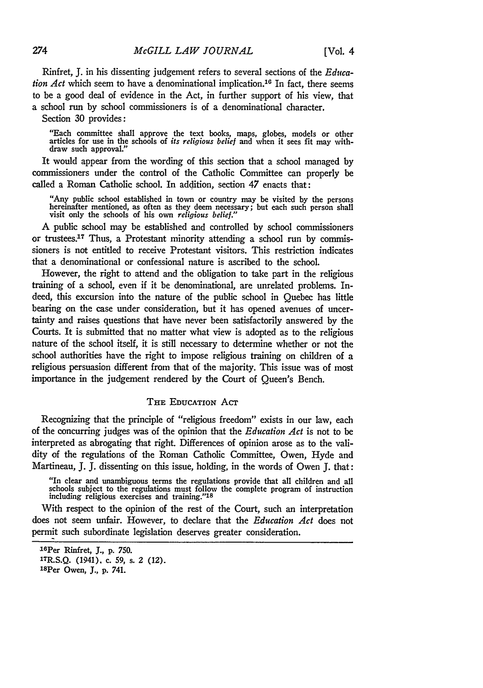Rinfret, J. in his dissenting judgement refers to several sections of the *Education Act* which seem to have a denominational implication.<sup>16</sup> In fact, there seems to be a good deal of evidence in the Act, in further support of his view, that a school run by school commissioners is of a denominational character.

Section 30 provides:

"Each committee shall approve the text books, maps, globes, models or other articles for use in the schools of *its religious belief* and when it sees fit may withdraw such approval.'

It would appear from the wording of this section that a school managed by commissioners under the control of the Catholic Committee can properly be called a Roman Catholic school. In addition, section *47* enacts that:

"Any public school established in town or country may be visited by the persons hereinafter mentioned, as often as they deem necessary; but each such person shall visit only the schools of his own *religious belief."*

A public school may be established and controlled by school commissioners or trustees.<sup>17</sup> Thus, a Protestant minority attending a school run by commissioners is not entitled to receive Protestant visitors. This restriction indicates that a denominational or confessional nature is ascribed to the school.

However, the right to attend and the obligation to take part in the religious training of a school, even if it be denominational, are unrelated problems. Indeed, this excursion into the nature of the public school in Quebec has little bearing on the case under consideration, but it has opened avenues of uncertainty and raises questions that have never been satisfactorily answered by the Courts. It is submitted that no matter what view is adopted as to the religious nature of the school itself, it is still necessary to determine whether or not the school authorities have the right to impose religious training on children of a religious persuasion different from that of the majority. This issue was of most importance in the judgement rendered by the Court of Queen's Bench.

## THE EDUCATION **AcT**

Recognizing that the principle of "religious freedom" exists in our law, each of the concurring judges was of the opinion that the *Education Act* is not to be interpreted as abrogating that right. Differences of opinion arose as to the validity of the regulations of the Roman Catholic Committee, Owen, Hyde and Martineau, **J.** J. dissenting on this issue, holding, in the words of Owen J. that:

"In clear and unambiguous terms the regulations provide that all children and all schools subject to the regulations must follow the complete program of instruction including religious exercises and training."<sup>18</sup>

With respect to the opinion of the rest of the Court, such an interpretation does not seem unfair. However, to declare that the *Education Act* does not permit such subordinate legislation deserves greater consideration.

274

<sup>16</sup>Per Rinfret, **J., p. 750.**

**<sup>&#</sup>x27; TR.S.Q.** (1941). c. **59,** s. 2 (12). 18Per Owen, **J., p.** 741.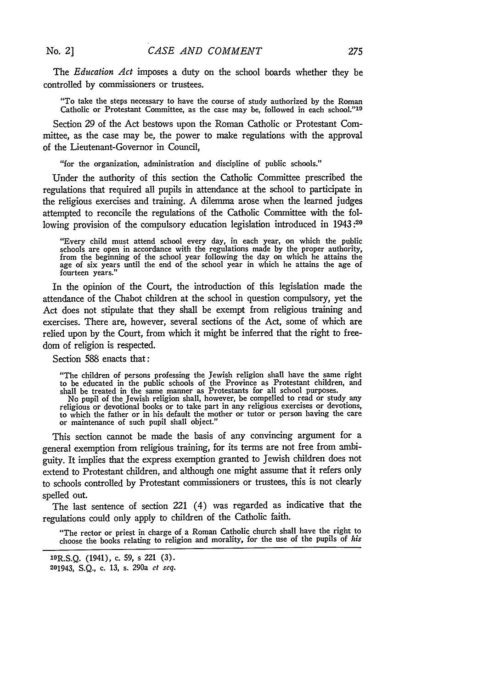The *Education Act* imposes a duty on the school boards whether they be controlled by commissioners or trustees.

"To take the steps necessary to have the course of study authorized by the Roman Catholic or Protestant Committee, as the case may be, followed in each school."19

Section 29 of the Act bestows upon the Roman Catholic or Protestant Committee, as the case may be, the power to make regulations with the approval of the Lieutenant-Governor in Council,

"for the organization, administration and discipline of public schools."

Under the authority of this section the Catholic Committee prescribed the regulations that required all pupils in attendance at the school to participate in the religious exercises and training. A dilemma arose when the learned judges attempted to reconcile the regulations of the Catholic Committee with the following provision of the compulsory education legislation introduced in 1943:<sup>20</sup>

"Every child must attend school every day, in each year, on which the public schools are open in accordance with the regulations made by the proper authority, from the beginning of the school year following the day on which he attains the age of six years until the end of the school year in which he attains the age of fourteen years."

In the opinion of the Court, the introduction of this legislation made the attendance of the Chabot children at the school in question compulsory, yet the Act does not stipulate that they shall be exempt from religious training and exercises. There are, however, several sections of the Act, some of which are relied upon by the Court, from which it might be inferred that the right to freedom of religion is respected.

Section 588 enacts that:

"The children of persons professing the Jewish religion shall have the same right to be educated in the public schools of the Province as Protestant children, and

shall be treated in the same manner as Protestants for all school purposes. No pupil of the Jewish religion shall, however, be compelled to read or study any religious or devotional books or to take part in any religious exercises or devotions, to which the father or in his default the mother or tutor or person having the care or maintenance of such pupil shall object."

This section cannot be made the basis of any convincing argument for a general exemption from religious training, for its terms are not free from ambiguity. It implies that the express exemption granted to Jewish children does not extend to Protestant children, and although one might assume that it refers only to schools controlled by Protestant commissioners or trustees, this is not clearly spelled out.

The last sentence of section 221 (4) was regarded as indicative that the regulations could only apply to children of the Catholic faith.

"The rector or priest in charge of a Roman Catholic church shall have the right to choose the books relating to religion and morality, for the use of the pupils of *his*

<sup>19</sup>R.S.Q. (1941), c. 59, s 221 (3).

<sup>201943,</sup> S.Q., c. 13, s. 290a *et seq.*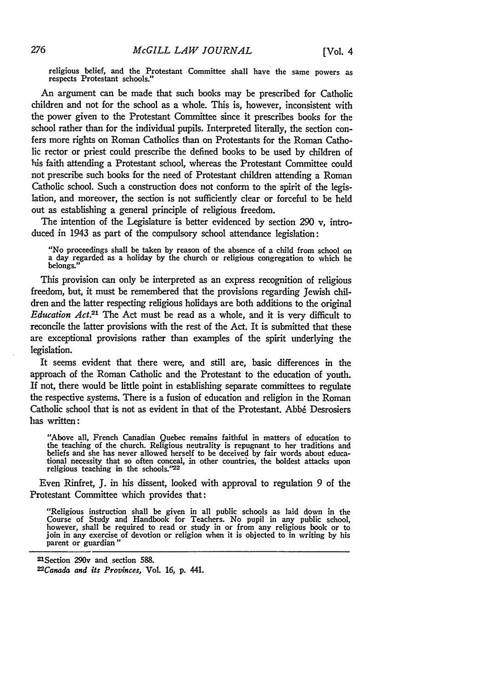religious belief, and the Protestant Committee shall have the same powers as respects Protestant schools."

An argument can be made that such books may be prescribed for Catholic children and not for the school as a whole. This is, however, inconsistent with the power given to the Protestant Committee since it prescribes books for the school rather than for the individual pupils. Interpreted literally, the section confers more rights on Roman Catholics than on Protestants for the Roman Catholic rector or priest could prescribe the defined books to be used by children of his faith attending a Protestant school, whereas the Protestant Committee could not prescribe such books for the need of Protestant children attending a Roman Catholic school. Such a construction does not conform to the spirit of the legislation, and moreover, the section is not sufficiently clear or forceful to be held out as establishing a general principle of religious freedom.

The intention of the Legislature is better evidenced by section *290* v, introduced in 1943 as part of the compulsory school attendance legislation:

"No proceedings shall be taken by reason of the absence of a child from school on a day regarded as a holiday by the church or religious congregation to which he belongs.

This provision can only be interpreted as an express recognition of religious freedom, but, it must be remembered that the provisions regarding Jewish children and the latter respecting religious holidays are both additions to the original *Education Act.21* The Act must be read as a whole, and it is very difficult to reconcile the latter provisions with the rest of the Act. It is submitted that these are exceptional provisions rather than examples of the spirit underlying the legislation.

It seems evident that there were, and still are, basic differences in the approach of the Roman Catholic and the Protestant to the education of youth. If not, there would be little point in establishing separate committees to regulate the respective systems. There is a fusion of education and religion in the Roman Catholic school that is not as evident in that of the Protestant. Abbé Desrosiers has written:

"Above all, French Canadian Quebec remains faithful in matters of education to the teaching of the church. Religious neutrality is repugnant to her traditions and beliefs and she has never allowed herself to be deceived by fair words about educational necessity that so often conceal, in other countries, the boldest attacks upon religious teaching in the schools." $22$ 

Even Rinfret, **J.** in his dissent, looked with approval to regulation 9 of the Protestant Committee which provides that:

"Religious instruction shall be given in all public schools as laid down in the Course of Study and Handbook for Teachers. No pupil in any public school, however, shall be required to read or study in or from any religious book or to however, shall be required to read or study in or from any religious book or to join in any exercise of devotion or religion when it is objected to in writing by his parent or guardian

=Section 290v and section **588.** *22 Canada and its Provinces, VoL* **16, p.** 441.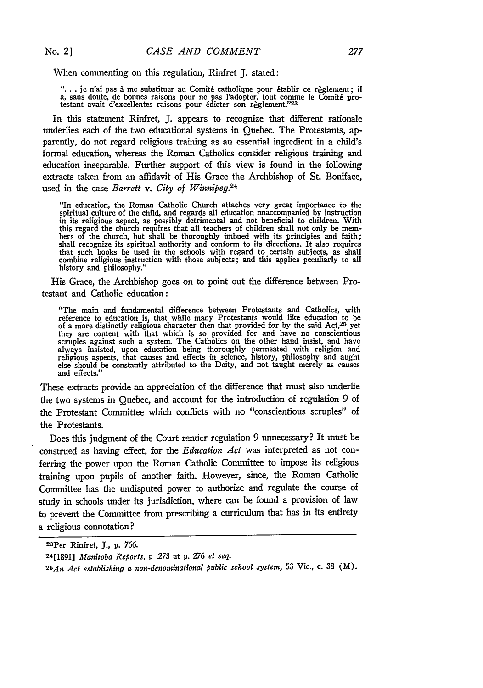When commenting on this regulation, Rinfret J. stated:

"... je n'ai pas à me substituer au Comité catholique pour établir ce règlement; il a, sans doute, de bonnes raisons pour ne pas l'adopter, tout comme le Comité pro-<br>testant avait d'excellentes raisons pour édicter son règlement."<sup>23</sup>

In this statement Rinfret, J. appears to recognize that different rationale underlies each of the two educational systems in Quebec. The Protestants, apparently, do not regard religious training as an essential ingredient in a child's formal education, whereas the Roman Catholics consider religious training and education inseparable. Further support of this view is found in the following extracts taken from an affidavit of His Grace the Archbishop of St. Boniface, used in the case *Barrett v. City of Winnipeg.*<sup>24</sup>

"In education, the Roman Catholic Church attaches very great importance to the spiritual culture of the child, and regards all education unaccompanied by instruction in its religious aspect, as possibly detrimental and not beneficial to children. With this regard the church requires that all teachers of children shall not only be members of the church, but shall be thoroughly imbued with its principles and faith; shall recognize its spiritual authority and conform to its directions. It also requires that such books be used in the schools with regard to certain subjects, as shall combine religious instruction with those subjects; and this applies peculiarly to all history and philosophy."

His Grace, the Archbishop goes on to point out the difference between Protestant and Catholic education:

"The main and fundamental difference between Protestants and Catholics, with reference to education is, that while many Protestants would like education to be<br>of a more distinctly religious character then that provided for by the said Act,<sup>25</sup> yet they are content with that which is so provided for and have no conscientious scruples against such a system. The Catholics on the other hand insist, and have always insisted, upon education being thoroughly permeated with religion and religious aspects, that causes and effects in science, history, philosophy and aught else should be constantly attributed to the Deity, and not taught merely as causes and effects."

These extracts provide an appreciation of the difference that must also underlie the two systems in Quebec, and account for the introduction of regulation 9 of the Protestant Committee which conflicts with no "conscientious scruples" of the Protestants.

Does this judgment of the Court render regulation 9 unnecessary? It must be construed as having effect, for the *Education Act* was interpreted as not conferring the power upon the Roman Catholic Committee to impose its religious training upon pupils of another faith. However, since, the Roman Catholic Committee has the undisputed power to authorize and regulate the course of study in schools under its jurisdiction, where can be found a provision of law to prevent the Committee from prescribing a curriculum that has in its entirety a religious connotaticn?

<sup>23</sup> Per Rinfret, **J.,** p. 766.

<sup>24[1891]</sup> *Manitoba Reports,* p .273 at p. *276 et seq.*

*<sup>25</sup>An Act establishing a non-denominational public school system,* 53 Vic., c. **38** (M).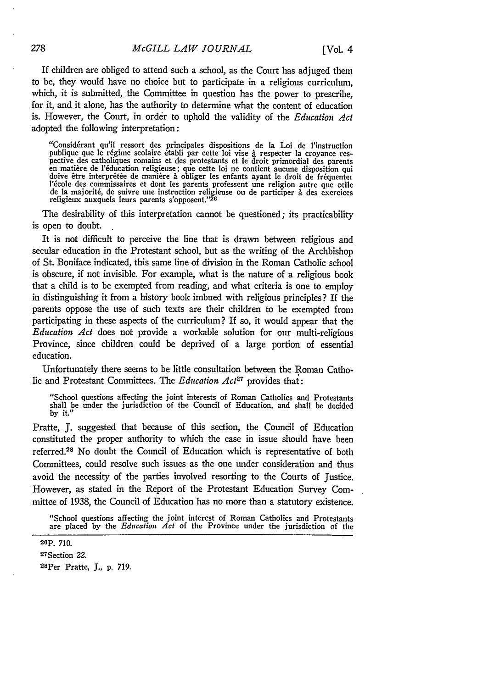If children are obliged to attend such a school, as the Court has adjuged them to be, they would have no choice but to participate in a religious curriculum, which, it is submitted, the Committee in question has the power to prescribe. for it, and it alone, has the authority to determine what the content of education is. However, the Court, in order to uphold the validity of the *Education Act* adopted the following interpretation:

"Consid6rant qu'il ressort des principales dispositions de la Loi **de** l'instruction partitus des catholiques romains et des protestants et le droit primordial des parents<br>en matière de l'éducation religieuse; que cette loi ne contient aucune disposition qui<br>doive être interprétée de manière à obliger les doive être interprétée de manière à obliger les enfants ayant le droit de fréquenter<br>l'école des commissaires et dont les parents professent une religion autre que celle<br>de la majorité, de suivre une instruction religieuse

The desirability of this interpretation cannot be questioned; its practicability is open to doubt.

It is not difficult to perceive the line that is drawn between religious and secular education in the Protestant school, but as the writing of the Archbishop of St. Boniface indicated, this same line of division in the Roman Catholic school is obscure, if not invisible. For example, what is the nature of a religious book that a child is to be exempted from reading, and what criteria is one to employ in distinguishing it from a history book imbued with religious principles? If the parents oppose the use of such texts are their children to be exempted from participating in these aspects of the curriculum? If so, it would appear that the *Education Act* does not provide a workable solution for our multi-religious Province, since children could be deprived of a large portion of essential education.

Unfortunately there seems to be little consultation between the Roman Catholic and Protestant Committees. The *Education Act*<sup>27</sup> provides that:

"School questions affecting the joint interests of Roman Catholics and Protestants shall be under the jurisdiction of the Council of Education, and shall be decided by it."

Pratte, J. suggested that because of this section, the Council of Education constituted the proper authority to which the case in issue should have been referred.28 No doubt the Council of Education which is representative of both Committees, could resolve such issues as the one under consideration and thus avoid the necessity of the parties involved resorting to the Courts of Justice. However, as stated in the Report of the Protestant Education Survey Committee of 1938, the Council of Education has no more than a statutory existence.

"School questions affecting the joint interest of Roman Catholics and Protestants are placed by the *Education Act* of the Province under the jurisdiction of the

27 Section 22. 28Per Pratte, J., p. 719.

**<sup>26</sup>P.** 710.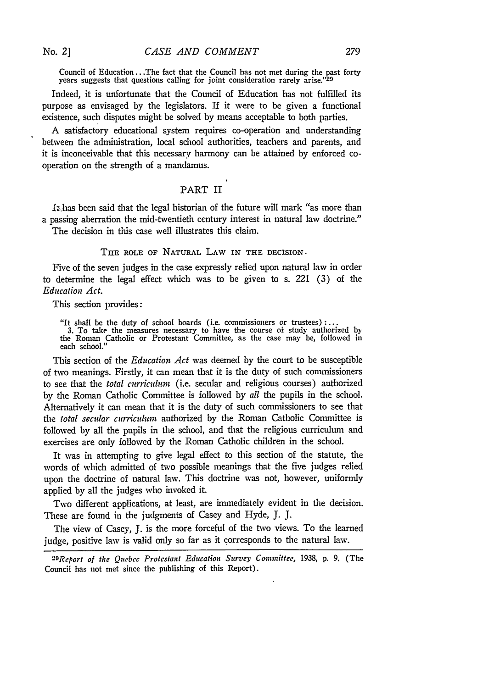**No. 2]**

Council of Education **...** The fact that the Council has not met during the past forty years suggests that questions calling for joint consideration rarely arise."<sup>29</sup>

Indeed, it is unfortunate that the Council of Education has not fulfilled its purpose as envisaged by the legislators. If it were to be given a functional existence, such disputes might be solved by means acceptable to both parties.

A satisfactory educational system requires co-operation and understanding between the administration, local school authorities, teachers and parents, and it is inconceivable that this necessary harmony can be attained by enforced cooperation on the strength of a mandamus.

# PART II

1;.has been said that the legal historian of the future will mark "as more than a passing aberration the mid-twentieth century interest in natural law doctrine." The decision in this case well illustrates this claim.

THE ROLE OF **NATURAL** LAW IN **THE** DECISION

Five of the seven judges in the case expressly relied upon natural law in order to determine the legal effect which was to be given to s. 221 (3) of the *Education Act.*

This section provides:

"It shall be the duty of school boards (i.e. commissioners or trustees) **3.** To take the measures necessary to have the course of study authorized by the Roman Catholic or Protestant Committee, as the case may be, followed in each school."

This section of the *Education Act* was deemed by the court to be susceptible of two meanings. Firstly, it can mean that it is the duty of such commissioners to see that the *total curriculum* (i.e. secular and religious courses) authorized by the Roman Catholic Committee is followed by *all* the pupils in the school. Alternatively it can mean that it is the duty of such commissioners to see that the *total secular curriculum* authorized by the Roman Catholic Committee is followed by all the pupils in the school, and that the religious curriculum and exercises are only followed by the Roman Catholic children in the school.

It was in attempting to give legal effect to this section of the statute, the words of which admitted of two possible meanings that the five judges relied upon the doctrine of natural law. This doctrine was not, however, uniformly applied by all the judges who invoked it.

Two different applications, at least, are immediately evident in the decision. These are found in the judgments of Casey and Hyde, J. J.

The view of Casey, J. is the more forceful of the two views. To the learned judge, positive law is valid only so far as it corresponds to the natural law.

*<sup>2</sup> -Report of the Quebec Protestant Education Survey Committee,* **1938, p. 9.** (The Council has not met since the publishing of this Report).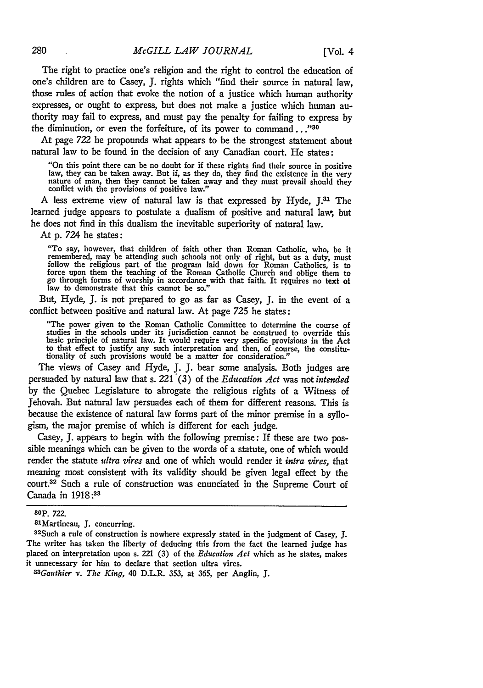The right to practice one's religion and the right to control the education of one's children are to Casey, J. rights which "find their source in natural law, those rules of action that evoke the notion of a justice which human authority expresses, or ought to express, but does not make a justice which human authority may fail to express, and must pay the penalty for failing to express by the diminution, or even the forfeiture, of its power to command..."<sup>30</sup>

At page 722 he propounds what appears to be the strongest statement about natural law to be found in the decision of any Canadian court. He states:

"On this point there can be no doubt for if these rights find their source in positive law, they can be taken away. But *if,* as they do, they find the existence in the very nature of man, then they cannot be taken away and they must prevail should they conflict with the provisions of positive law."

A less extreme view of natural law is that expressed by Hyde, J.<sup>31</sup> The learned judge appears to postulate a dualism of positive and natural lav, but he does not find in this dualism the inevitable superiority of natural law.

At p. *724* he states:

"To say, however, that children of faith other than Roman Catholic, who, be it remembered, may be attending such schools not only of right, but as a duty, must follow the religious part of the program laid down for Roman Catholics, is to force upon them the teaching of the Roman Catholic Church and oblige them to go through forms of worship in accordance with that faith. It requires **no** text **ot** law to demonstrate that this cannot be so."

But, Hyde, J. is not prepared to go as far as Casey, J. in the event of a conflict between positive and natural law. At page *725* he states:

"The power given to the Roman Catholic Committee to determine the course of studies in the schools under its jurisdiction cannot be construed to override this basic principle of natural law. It would require very specific provisions in the Act to that effect to justify any such interpretation and tionality of such provisions would be a matter for consideration."

The views of Casey and Hyde, J. J. bear some analysis. Both judges are persuaded by natural law that s. 221 (3) of the *Education Act* was not *intended* by the Quebec Legislature to abrogate the religious rights of a Witness of Jehovah. But natural law persuades each of them for different reasons. This is because the existence of natural law forms part of the minor premise in a syllogism, the major premise of which is different for each judge.

Casey, J. appears to begin with the following premise: If these are two possible meanings which can be given to the words of a statute, one of which would render the statute *ultra vires* and one of which would render it *intra vires,* that meaning most consistent with its validity should be given legal effect by the court.<sup>32</sup> Such a rule of construction was enunciated in the Supreme Court of Canada in **1918:33**

<sup>30</sup>p. 722.

<sup>&</sup>lt;sup>81</sup>Martineau, J. concurring.

 $32$ Such a rule of construction is nowhere expressly stated in the judgment of Casey, J. The writer has taken the liberty of deducing this from the fact the learned judge has placed on interpretation upon s. 221 (3) of the *Education Act* which as he states, makes it unnecessary for him to declare that section ultra vires.

*<sup>33</sup>Gauthier v. The King,* 40 D.L.R. 353, at **365,** per Anglin, J.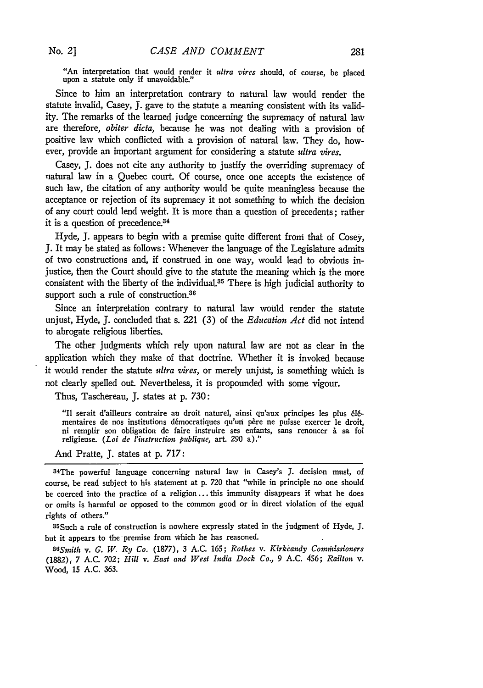"An interpretation that would render it *ultra vires* should, of course, be placed upon a statute only if unavoidable."

Since to him an interpretation contrary to natural law would render the statute invalid, Casey, **J.** gave to the statute a meaning consistent with its validity. The remarks of the learned judge concerning the supremacy of natural law are therefore, *obiter dicta,* because he was not dealing with a provision **of** positive law which conflicted with a provision of natural law. They do, however, provide an important argument for considering a statute *ultra vires.*

Casey, **J.** does not cite any authority to justify the overriding supremacy of natural law in a Quebec court. **Of** course, once one accepts the existence of such law, the citation of any authority would be quite meaningless because the acceptance or rejection of its supremacy it not something to which the decision of any court could lend weight. It is more than a question of precedents; rather it is a question of precedence.<sup>34</sup>

Hyde, **J.** appears to begin with a premise quite different from that of Cosey, **J.** It may be stated as follows: Whenever the language of the Legislature admits of two constructions and, if construed in one way, would lead to obvious injustice, then the Court should give to the statute the meaning which is the more consistent with the liberty of the individual.<sup>35</sup> There is high judicial authority to support such a rule of construction.<sup>36</sup>

Since an interpretation contrary to natural law would render the statute unjust, Hyde, **J.** concluded that s. 221 **(3)** of the *Education Act* did not intend to abrogate religious liberties.

The other judgments which rely upon natural law are not as clear in the application which they make of that doctrine. Whether it is invoked because it would render the statute *ultra vires*, or merely unjust, is something which is not clearly spelled out. Nevertheless, it is propounded with some vigour.

Thus, Taschereau, **J.** states at **p. 730:**

"Il serait d'ailleurs contraire au droit naturel, ainsi qu'aux principes les plus **l6** mentaires de nos institutions démocratiques qu'un père ne puisse exercer le droit, ni remplir son obligation de faire instruire ses enfants, sans renoncer à sa foi religieuse. *(Loi de l'instruction publique,* art. **290** a)."

And Pratte, **J.** states at **p. 717:**

34 The powerful language concerning natural law in Casey's **J.** decision must, of course, be read subject to his statement at **p. 720** that "while in principle no one should be coerced into the practice of a religion.., this immunity disappears if what he does or omits is harmful or opposed to the common good or in direct violation of the equal rights of others."

35Such a rule of construction is nowhere expressly stated in the judgment of Hyde, **J.** but it appears to the-premise from which he has reasoned.

*36Smith v. G. W, Ry Co.* (1877), **3 A.C.** 165; *Rothes v. Kirkcandy Comthissioners* (1882), 7 A.C. 702; *Hill v. East and West India Dock Co.,* 9 A.C. 456; *Railton v.* Wood, **15 A.C. 363.**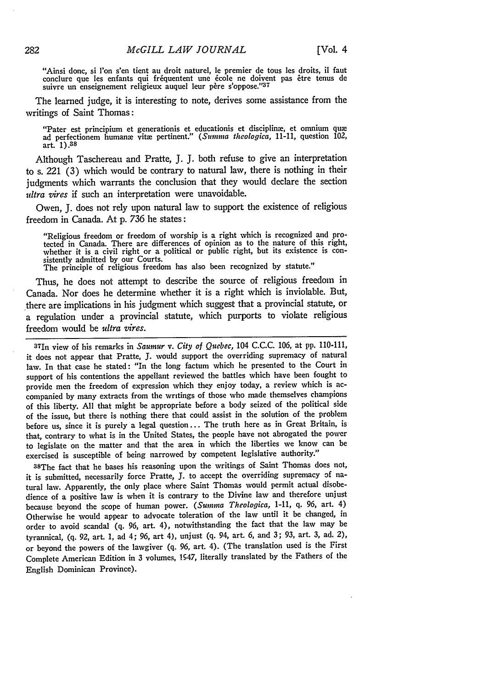"Ainsi donc, si l'on s'en tient au droit naturel, le premier de tous les droits, **il** faut conclure que les enfants qui fréquentent une école ne doivent pas être tenus de suivre **un** enseignement religieux auquel leur p6re **s'oppose."<sup>37</sup>**

The learned judge, it is interesting to note, derives some assistance from the writings of Saint Thomas:

"Pater est principium et generationis et educationis et discipline, et omnium quae ad perfectionem humanx vita pertinent." (Sinnma *theologica,* **11-11,** question 102, art. **1).38**

Although Taschereau and Pratte, **J. J.** both refuse to give an interpretation to s. 221 **(3)** which would be contrary to natural law, there is nothing in their judgments which warrants the conclusion that they would declare the section *ultra vires* if such an interpretation were unavoidable.

Owen, **J.** does not rely upon natural **law** to support the existence of religious freedom in Canada. At **p. 736** he states:

"Religious freedom or freedom of worship is a right which is recognized and protected in Canada. There are differences of opinion as to the nature of this right, whether it is a civil right or a political or public right, but its existence is consistently admitted **by** our Courts.

The principle of religious freedom has also been recognized **by** statute."

Thus, he does not attempt to describe the source of religious freedom in Canada. Nor does he determine whether it is a right which is inviolable. But, there are implications in his judgment which suggest that a provincial statute, or a regulation under a provincial statute, which purports to violate religious freedom would be *ultra ires.*

371n view of his remarks in *Saumur v. City of Quebec,* 104 **C.C.C. 106,** at **pp. 110-111,** it does not appear that Pratte, **J.** would support the overriding supremacy of natural law. In that case he stated: "In the long factum which he presented to the Court in support of his contentions the appellant reviewed the battles which have been fought to provide men the freedom of expression which they enjoy today, a review which is accompanied **by** many extracts from the writings of those who made themselves champions of this liberty. **All** that might be appropriate before a body seized of the political side of the issue, but there is nothing there that could assist in the solution of the problem before us, since it is purely a legal question... The truth here as in Great Britain, is that, contrary to what is in the United States, the people have not abrogated the power to legislate on the matter and that the area in which the liberties we know can be exercised is susceptible of being narrowed **by** competent legislative authority."

38 The fact that he bases his reasoning upon the writings of Saint Thomas does not, it is submitted, necessarily force Pratte, **J.** to accept the overriding supremacy **of** natural law. Apparently, the only place where Saint Thomas would permit actual disobedience of a positive law is when it is contrary to the Divine **law** and therefore unjust because beyond the scope of human power. *(Sinina Theologica,* **1-11, q. 96,** art. 4) Otherwise he would appear to advocate toleration of the law until it be changed, in order to avoid scandal **(q. 96,** art. 4), notwithstanding the fact that the law may be tyrannical, **(q. 92,** art. **1,** ad 4; **96,** art 4), unjust **(q.** 94, art. **6,** and **3; 93,** art. **3,** ad. 2), or beyond the powers of the lawgiver **(q. 96,** art. 4). (The translation used is the First Complete American Edition in **3** volumes, 1547, literally translated **by** the Fathers of the English Dominican Province).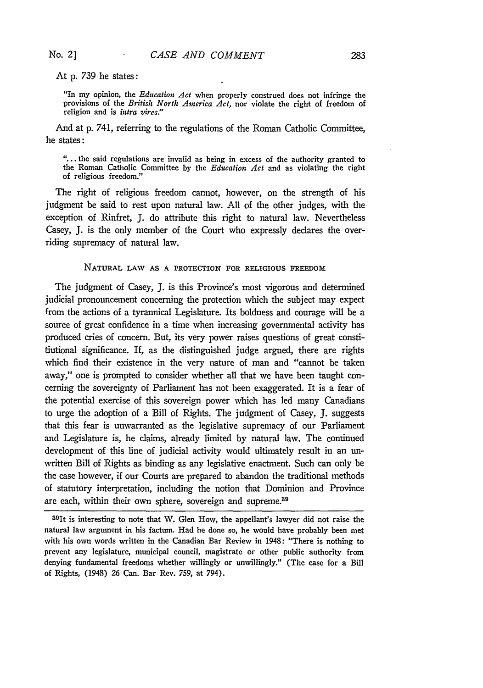# At p. 739 he states:

"In my opinion, the *Education Act* when properly construed does not infringe the provisions of the *British North America Act,* nor violate the right of freedom of religion and is *intra vires."*

And at **p.** 741, referring to the regulations of the Roman Catholic Committee, he states **:**

*"...* the said regulations are invalid as being in excess of the authority granted to the Roman Catholic Committee **by** the *Education Act* and as violating the right of religious freedom."

The right of religious freedom cannot, however, on the strength of his judgment be said to rest upon natural law. **All** of the other judges, with the exception of Rinfret, **J.** do attribute this right to natural law. Nevertheless Casey, **J.** is the only member of the Court who expressly declares the overriding supremacy of natural law.

### NATURAL **LAW AS A** PROTECTION FOR RELIGIOUS FREEDOM

The judgment of Casey, J. is this Province's most vigorous and determined judicial pronouncement concerning the protection which the subject may expect from the actions of a tyrannical Legislature. Its boldness and courage will be a source of great confidence in a time when increasing governmental activity has produced cries of concern. But, its very power raises questions of great constitiutional significance. If, as the distinguished judge argued, there are rights which find their existence in the very nature of man and "cannot be taken away," one is prompted to consider whether all that we have been taught concerning the sovereignty of Parliament has not been exaggerated. It is a fear of the potential exercise of this sovereign power which has led many Canadians to urge the adoption of a Bill of Rights. The judgment of Casey, **J.** suggests that this fear is unwarranted as the legislative supremacy of our Parliament and Legislature is, he claims, already limited **by** natural law. The continued development of this line of judicial activity would ultimately result in an unwritten Bill of Rights as binding as any legislative enactment. Such can only be the case however, if our Courts are prepared to abandon the traditional methods of statutory interpretation, including the notion that Dominion and Province are each, within their own sphere, sovereign and supreme.<sup>39</sup>

39 1t **is** interesting to note that W. Glen How, the appellant's lawyer did not raise the natural law argument in his factum. Had he done so, he would have probably been met with his own words written in the Canadian Bar Review in 1948: "There is nothing to prevent any legislature, municipal council, magistrate or other public authority from denying fundamental freedoms whether willingly or unwillingly." (The case for a Bill of Rights, (1948) **26** Can. Bar Rev. **759,** at 794).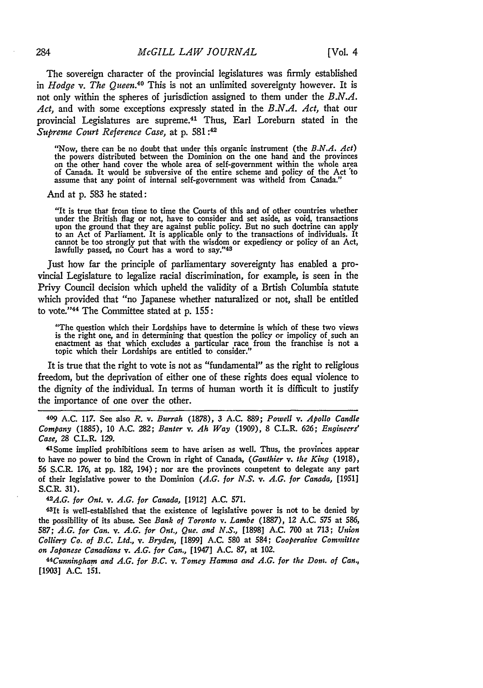The sovereign character of the provincial legislatures was firmly established in *Hodge v. The Queen.40* This is not an unlimited sovereignty however. It is not only within the spheres of jurisdiction assigned to them under the *B.N.A. Act,* and with some exceptions expressly stated in the *B.N.A. Act,* that our provincial Legislatures are supreme.<sup>41</sup> Thus, Earl Loreburn stated in the *Supreme Court Reference Case,* at p. 581:42

"Now, there can be no doubt that under this organic instrument (the *B.N.A. Act)* the powers distributed between the Dominion on the one hand and the provinces<br>on the other hand cover the whole area of self-government within the whole area<br>of Canada. It would be subversive of the entire scheme and polic

**And** at **p. 583** he stated:

"It is true that from time to time the Courts of this and of other countries whether under the British flag or not, have to consider and set aside, as void, transactions upon the ground that they are against public policy. But no such doctrine can apply to an Act of Parliament. It is applicable only to the transactions of individuals. It cannot be too strongly put that with the wisdom or expediency or policy of an Act, lawfully passed, no Court has a word to say."<sup>43</sup>

Just how far the principle of parliamentary sovereignty has enabled a provincial Legislature to legalize racial discrimination, for example, is seen in the Privy Council decision which upheld the validity of a Brtish Columbia statute which provided that "no Japanese whether naturalized or not, shall be entitled to vote."'44 The Committee stated at **p. 155:**

"The question which their Lordships have to determine is which of these two views is the right one, and in determining that question the policy or impolicy of such an enactment as that which excludes a particular race from the franchise is not a topic which their Lordships are entitled to consider."

It is true that the right to vote is not as "fundamental" as the right to religious freedom, but the deprivation of either one of these rights does equal violence to the dignity of the individual. In terms of human worth it is difficult to justify the importance of one over the other.

**409 A.C. 117.** See also *R.* v. *Burrah* **(1878), 3 A.C. 889;** *Powell v. Apollo Candle Company* (1885), 10 **A.C. 282;** *Banter v.* **Ah** *Way* (1909), **8** C.L.R. **626;** *Engineers' Case,* **28** C.L.R. 129.

"1Some implied prohibitions seem to have arisen as well. Thus, the provinces appear to have no power to bind the Crown in right of Canada, *(Gauthier v. the King* (1918), 56 S.C.R. 176, at **pp.** 182, 194); nor are the provinces competent to delegate any part of their legislative power to the Dominion *(A.G. for N.S. v. A.G. for Canada,* [1951] S.C.R. 31).

*l.G. for Ont. v. A.G. for Canada,* [1912] A.C. 571.

43It is well-established that the existence of legislative power is not to be denied **by** the possibility of its abuse. See *Bank of Toronto v. Lambe* (1887), 12 A.C. 575 at 586, 587; *A.G. for Can. v. A.G. for Ont., Que. and N.S.,* [1898] A.C. 700 at 713; *Union Colliery Co. of B.C. Ltd., v. Bryden,* [1899] A.C. 580 at 584; *Cooperative Committee on Japanese Canadians v. A.G. for Can.,* [1947] A.C. 87, at 102.

44 Cunningham and *A.G. for B.C. v. Tomey Hamma and A.G. for the Dorn. of Can.,* [1903] A.C. 151.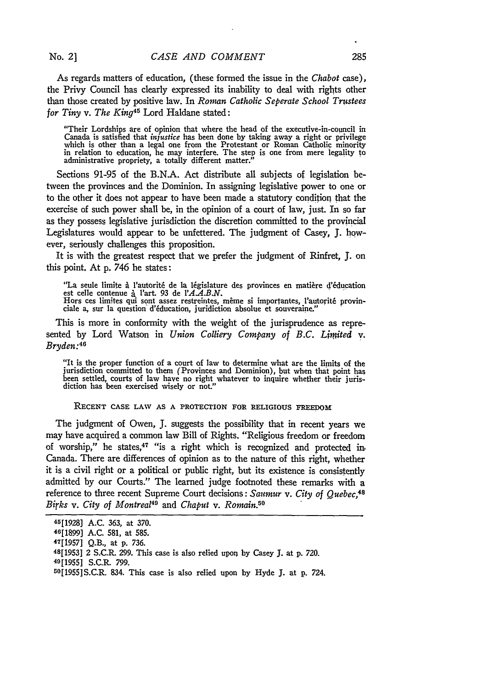No. 21

As regards matters of education, (these formed the issue in the *Chabot* case), the Privy Council has clearly expressed its inability to deal with rights other than those created by positive law. In *Roman Catholic Seperate School Trustees for Tiny v. The King45* Lord Haldane stated:

"Their Lordships are of opinion that where the head of the executive-in-council in Canada is satisfied that *injustice* has been done by taking away a right or privilege which is other than a legal one from the Protestant or Roman Catholic minority<br>in relation to education, he may interfere. The step is one from mere legality to administrative propriety, a totally different matter."

Sections 91-95 of the B.N.A. Act distribute all subjects of legislation between the provinces and the Dominion. In assigning legislative power to one or to the other it does not appear to have been made a statutory condition that the exercise of such power shall be, in the opinion of a court of law, just. In so far as they possess legislative jurisdiction the discretion committed to the provincial Legislatures would appear to be unfettered. The judgment of Casey, **J.** however, seriously challenges this proposition.

It is with the greatest respect that we prefer the judgment of Rinfret, **J.** on this point. At p. 746 he states:

"La seule limite à l'autorité de la législature des provinces en matière d'éducation

est celle contenue à l'art. 93 de l'*A.A.B.N.*<br>Hors ces limites qui sont assez restreintes, même si importantes, l'autorité provin-<br>ciale a, sur la question d'éducation, juridiction absolue et souveraine."

This is more in conformity with the weight of the jurisprudence as represented by Lord Watson in *Union Colliery Company of B.C. Limited* v. *Bryden:46*

"It is the proper function of a court of law to determine what are the limits of the jurisdiction committed to them (Provinces and Dominion), but when that point has been settled, courts of law have no right whatever to inquire whether their jurisdiction has been exercised wisely or not.'

RECENT CASE LAW AS A PROTECTION FOR RELIGIOUS FREEDOM

The judgment of Owen, **J.** suggests the possibility that in recent years we may have acquired a common law Bill of Rights. "Religious freedom or freedom of worship," he states,<sup>47</sup> "is a right which is recognized and protected in-Canada. There are differences of opinion as to the nature of this right, whether it is a civil right or a political or public right, but its existence is consistently admitted by our Courts." The learned judge footnoted these remarks with a reference to three recent Supreme Court decisions: Saumur v. City of Quebec.<sup>48</sup> *Birks v. City of Montreal49* and *Chaput v. Romain.50*

**<sup>45[1928]</sup>** A.C. 363, at 370.

<sup>46[1899]</sup> A.C. 581, at **585.** 47

<sup>[1957]</sup> Q.B., at p. 736.

<sup>48[1953] 2</sup> S.C.R. 299. This case is also relied upon by Casey **J.** at p. 720.

<sup>49[1955]</sup> S.C.R. 799.

<sup>50[1955]</sup>S.C.R. 834. This case is also relied upon by Hyde **J.** at p. 724.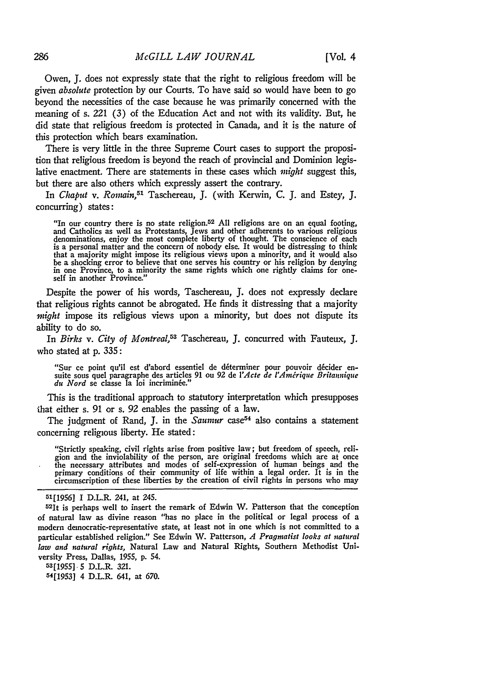Owen, J. does not expressly state that the right to religious freedom will be given *absolute* protection by our Courts. To have said so would have been to go beyond the necessities of the case because he was primarily concerned with the meaning of s. *221* **(3)** of the Education Act and not with its validity. But, he did state that religious freedom is protected in Canada, and it is the nature of this protection which bears examination.

There is very little in the three Supreme Court cases to support the proposition that religious freedom is beyond the reach of provincial and Dominion legislative enactment. There are statements in these cases which *might* suggest this, but there are also others which expressly assert the contrary.

In *Chaput v. Romain,51* Taschereau, J. (with Kerwin, C. J. and Estey, J. concurring) states:

"In our country there is no state religion.52 All religions are on an equal footing, and Catholics as well as Protestants, Jews and other adherents to various religious denominations, enjoy the most complete liberty of thought. The conscience of each is a personal matter and the concern of nobody else. It would be distressing to think that a majority might impose its religious views upon a minority, and it would also be a shocking error to believe that one serves his country or his religion by denying in one Province, to a minority the same rights which one rightly claims for one- self in another Province."

Despite the power of his words, Taschereau, J. does not expressly declare that religious rights cannot be abrogated. He finds it distressing that a majority *might* impose its religious views upon a minority, but does not dispute its ability to do so.

In *Birks v. City of Montreal,53* Taschereau, **J.** concurred with Fauteux, **J.** who stated at **p.** 335:

"Sur ce point qu'il est d'abord essentiel de déterminer pour pouvoir décider ensuite sous quel paragraphe des articles 91 ou 92 de l'Acte de l'Amérique Britannique *du Nord* se classe la loi incriminée."

This is the traditional approach to statutory interpretation which presupposes that either s. **91** or s. **92** enables the passing of a law.

The judgment of Rand, J. in the *Saumur* case<sup>54</sup> also contains a statement concerning religious liberty. He stated:

"Strictly speaking, civil rights arise from positive law; but freedom of speech, religion and the inviolability of the person, are original freedoms which are at once the necessary attributes and modes of self-expression of human beings and the<br>primary conditions of their community of life within a legal order. It is in the<br>circumscription of these liberties by the creation of eivil rig

**53[1955] 5** D.L.R. **321.**

**54[1953]** 4 D.L.R. 641, at **670.**

286

**<sup>51[19561</sup>** I D.L.R. 241, at 245.

<sup>52</sup>It is perhaps well to insert the remark of Edwin W. Patterson that the conception of natural law as divine reason "has no place in the political or legal process of a modern democratic-representative state, at least not in one which is not committed to a particular established religion." See Edwin W. Patterson, *A Pragmatist looks at natural law and natural rights,* Natural Law and Natural Rights, Southern Methodist University Press, Dallas, **1955, p.** 54.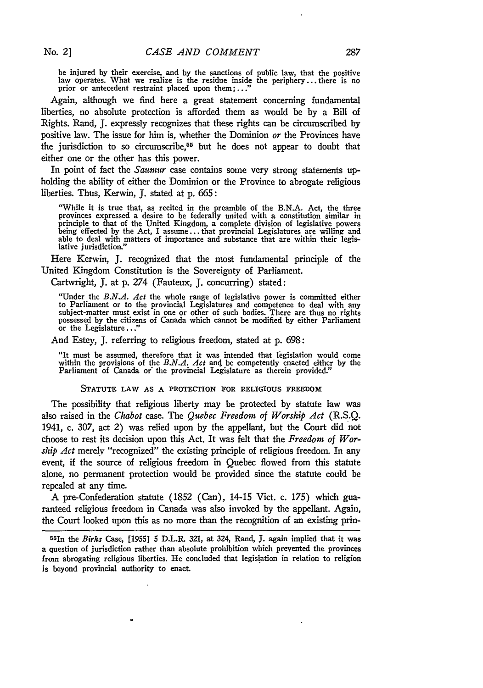be injured by their exercise, and **by** the sanctions of public law, that the positive law operates. What we realize is the residue inside the periphery... there is no prior or antecedent restraint placed upon them;..."

Again, although we find here a great statement concerning fundamental liberties, no absolute protection is afforded them as would be **by** a Bill of Rights. Rand, **J.** expressly recognizes that these rights can be circumscribed **by** positive law. The issue for him is, whether the Dominion *or* the Provinces have the jurisdiction to so circumscribe,<sup>55</sup> but he does not appear to doubt that either one or the other has this power.

In point of fact the *Saumur* case contains some very strong statements upholding the ability of either the Dominion or the Province to abrogate religious liberties. Thus, Kerwin, **J.** stated at **p.** 665:

"While **it** is true that, as recited in the preamble of the **B.N.A.** Act, the three provinces expressed a desire to be federally united with a constitution similar in principle to that of the United Kingdom, a complete division of legislative powers being effected **by** the Act, I assume.., that provincial Legislatures are willing and being effected by the Act, I assume...that provincial Legislatures are willing and able to deal with matters of importance and substance that are within their legislative jurisdiction."

Here Kerwin, **J.** recognized that the most fundamental principle of the United Kingdom Constitution is the Sovereignty of Parliament.

Cartwright, **J.** at **p.** 274 (Fauteux, **J.** concurring) stated:

"Under the *B.N.A. Act* the whole range of legislative power is committed either to Parliament or to the provincial Legislatures and competence to deal with any<br>subject-matter must exist in one or other of such bodies. There are thus no rights<br>possessed by the citizens of Canada which cannot be modifie

And Estey, **J.** referring to religious freedom, stated at **p. 698:**

"It must be assumed, therefore that it was intended that ligislation would come within the provisions of the *B.N.A. Act* and be competently enacted either **by** the Parliament of Canada or the provincial Legislature as therein provided."

#### **STATUTE LAW AS A PROTECTION FOR RELIGIOUS FREEDOM**

The possibility that religious liberty may be protected **by** statute law was also raised in the *Chabot* case. The *Quebec Freedom of Worship Act* **(R.S.Q.** 1941, c. **307,** act 2) was relied upon **by** the appellant, but the Court did not choose to rest its decision upon this Act. It was felt that the *Freedom of Worship Act* merely "recognized" the existing principle of religious freedom. In any event, if the source of religious freedom in Quebec flowed from this statute alone, no permanent protection would be provided since the statute could be repealed at any time.

A pre-Confederation statute **(1852** (Can), 14-15 Vict. c. **175)** which **gua**ranteed religious freedom in Canada was also invoked **by** the appellant. Again, the Court looked upon this as no more than the recognition of an existing prin-

 $\bullet$ 

<sup>55</sup> In the Birks Case, **[1955]** 5 D.L.R. **321,** at 324, Rand, **J.** again implied that it was a question of jurisdiction rather than absolute prohibition which prevented the provinces from abrogating religious liberties. He concluded that legislation in relation to religion is beyond provincial authority to enact.